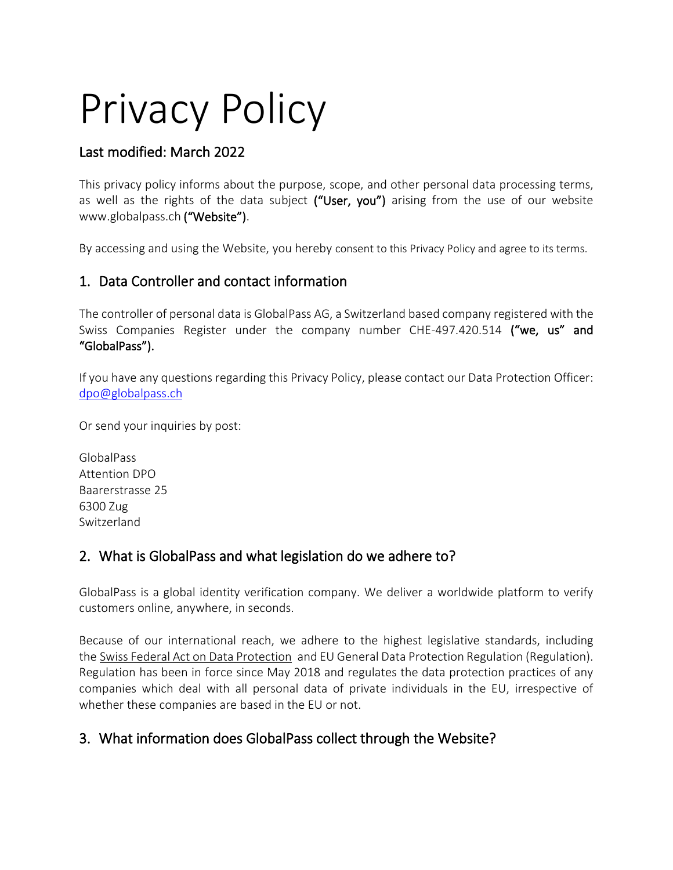# Privacy Policy

## Last modified: March 2022

This privacy policy informs about the purpose, scope, and other personal data processing terms, as well as the rights of the data subject ("User, you") arising from the use of our website www.globalpass.ch ("Website").

By accessing and using the Website, you hereby consent to this Privacy Policy and agree to its terms.

#### 1. Data Controller and contact information

The controller of personal data is GlobalPass AG, a Switzerland based company registered with the Swiss Companies Register under the company number CHE-497.420.514 ("we, us" and "GlobalPass").

If you have any questions regarding this Privacy Policy, please contact our Data Protection Officer: [dpo@globalpass.c](mailto:dpo@globalpass.)h

Or send your inquiries by post:

GlobalPass Attention DPO Baarerstrasse 25 6300 Zug Switzerland

## 2. What is GlobalPass and what legislation do we adhere to?

GlobalPass is a global identity verification company. We deliver a worldwide platform to verify customers online, anywhere, in seconds.

Because of our international reach, we adhere to the highest legislative standards, including the Swiss Federal Act on Data [Protection](https://www.admin.ch/opc/en/classified-compilation/19920153/index.html) and EU General Data Protection Regulation (Regulation). Regulation has been in force since May 2018 and regulates the data protection practices of any companies which deal with all personal data of private individuals in the EU, irrespective of whether these companies are based in the EU or not.

# 3. What information does GlobalPass collect through the Website?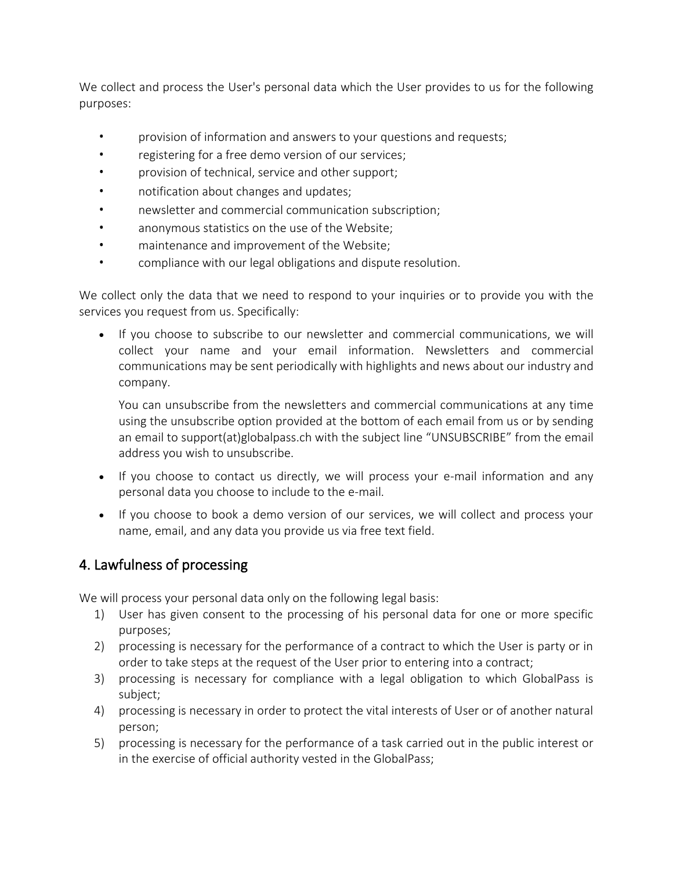We collect and process the User's personal data which the User provides to us for the following purposes:

- provision of information and answers to your questions and requests;
- registering for a free demo version of our services;
- provision of technical, service and other support;
- notification about changes and updates;
- newsletter and commercial communication subscription;
- anonymous statistics on the use of the Website;
- maintenance and improvement of the Website;
- compliance with our legal obligations and dispute resolution.

We collect only the data that we need to respond to your inquiries or to provide you with the services you request from us. Specifically:

• If you choose to subscribe to our newsletter and commercial communications, we will collect your name and your email information. Newsletters and commercial communications may be sent periodically with highlights and news about our industry and company.

You can unsubscribe from the newsletters and commercial communications at any time using the unsubscribe option provided at the bottom of each email from us or by sending an email to support(at)globalpass.ch with the subject line "UNSUBSCRIBE" from the email address you wish to unsubscribe.

- If you choose to contact us directly, we will process your e-mail information and any personal data you choose to include to the e-mail.
- If you choose to book a demo version of our services, we will collect and process your name, email, and any data you provide us via free text field.

## 4. Lawfulness of processing

We will process your personal data only on the following legal basis:

- 1) User has given consent to the processing of his personal data for one or more specific purposes;
- 2) processing is necessary for the performance of a contract to which the User is party or in order to take steps at the request of the User prior to entering into a contract;
- 3) processing is necessary for compliance with a legal obligation to which GlobalPass is subject;
- 4) processing is necessary in order to protect the vital interests of User or of another natural person;
- 5) processing is necessary for the performance of a task carried out in the public interest or in the exercise of official authority vested in the GlobalPass;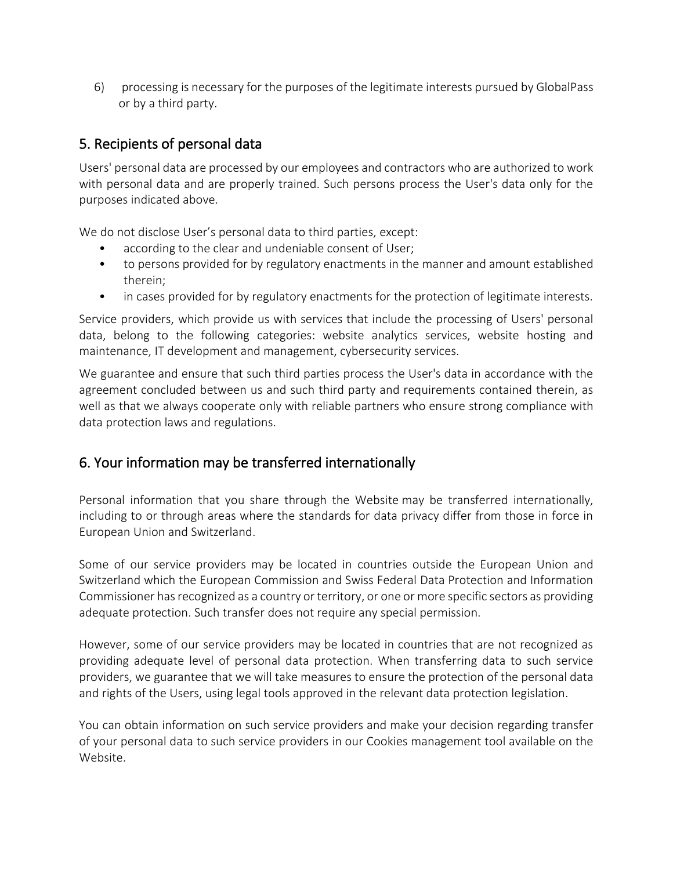6) processing is necessary for the purposes of the legitimate interests pursued by GlobalPass or by a third party.

### 5. Recipients of personal data

Users' personal data are processed by our employees and contractors who are authorized to work with personal data and are properly trained. Such persons process the User's data only for the purposes indicated above.

We do not disclose User's personal data to third parties, except:

- according to the clear and undeniable consent of User;
- to persons provided for by regulatory enactments in the manner and amount established therein;
- in cases provided for by regulatory enactments for the protection of legitimate interests.

Service providers, which provide us with services that include the processing of Users' personal data, belong to the following categories: website analytics services, website hosting and maintenance, IT development and management, cybersecurity services.

We guarantee and ensure that such third parties process the User's data in accordance with the agreement concluded between us and such third party and requirements contained therein, as well as that we always cooperate only with reliable partners who ensure strong compliance with data protection laws and regulations.

#### 6. Your information may be transferred internationally

Personal information that you share through the Website may be transferred internationally, including to or through areas where the standards for data privacy differ from those in force in European Union and Switzerland.

Some of our service providers may be located in countries outside the European Union and Switzerland which the European Commission and Swiss Federal Data Protection and Information Commissioner has recognized as a country or territory, or one or more specific sectors as providing adequate protection. Such transfer does not require any special permission.

However, some of our service providers may be located in countries that are not recognized as providing adequate level of personal data protection. When transferring data to such service providers, we guarantee that we will take measures to ensure the protection of the personal data and rights of the Users, using legal tools approved in the relevant data protection legislation.

You can obtain information on such service providers and make your decision regarding transfer of your personal data to such service providers in our Cookies management tool available on the Website.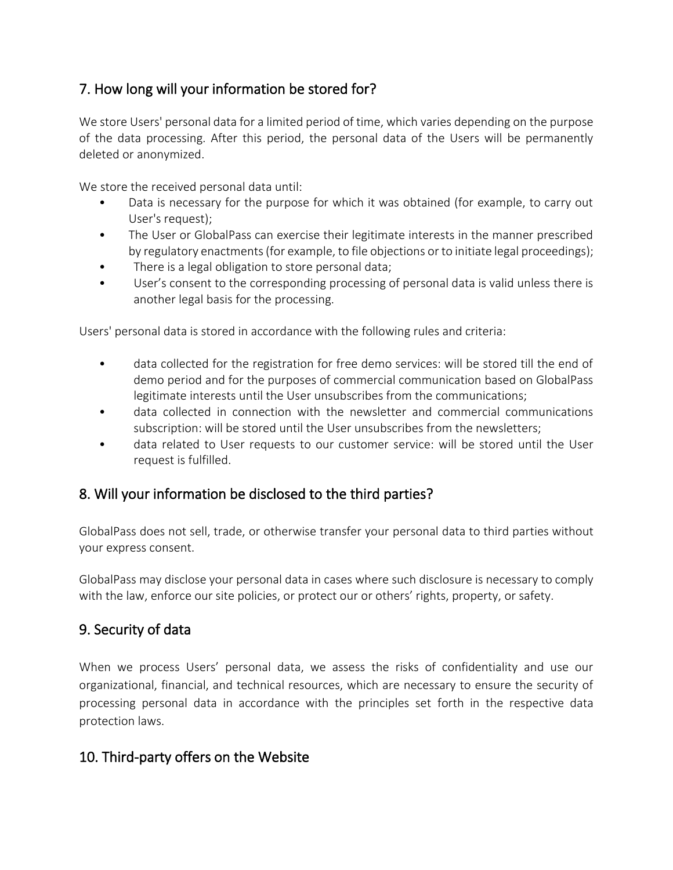# 7. How long will your information be stored for?

We store Users' personal data for a limited period of time, which varies depending on the purpose of the data processing. After this period, the personal data of the Users will be permanently deleted or anonymized.

We store the received personal data until:

- Data is necessary for the purpose for which it was obtained (for example, to carry out User's request);
- The User or GlobalPass can exercise their legitimate interests in the manner prescribed by regulatory enactments (for example, to file objections or to initiate legal proceedings);
- There is a legal obligation to store personal data;
- User's consent to the corresponding processing of personal data is valid unless there is another legal basis for the processing.

Users' personal data is stored in accordance with the following rules and criteria:

- data collected for the registration for free demo services: will be stored till the end of demo period and for the purposes of commercial communication based on GlobalPass legitimate interests until the User unsubscribes from the communications;
- data collected in connection with the newsletter and commercial communications subscription: will be stored until the User unsubscribes from the newsletters;
- data related to User requests to our customer service: will be stored until the User request is fulfilled.

# 8. Will your information be disclosed to the third parties?

GlobalPass does not sell, trade, or otherwise transfer your personal data to third parties without your express consent.

GlobalPass may disclose your personal data in cases where such disclosure is necessary to comply with the law, enforce our site policies, or protect our or others' rights, property, or safety.

## 9. Security of data

When we process Users' personal data, we assess the risks of confidentiality and use our organizational, financial, and technical resources, which are necessary to ensure the security of processing personal data in accordance with the principles set forth in the respective data protection laws.

## 10. Third-party offers on the Website